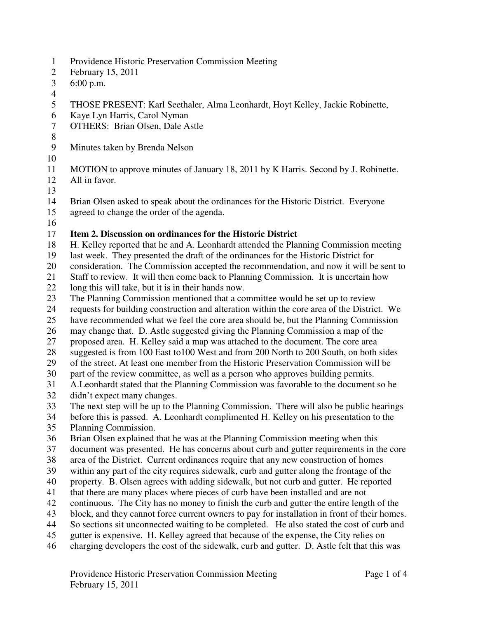- 1 Providence Historic Preservation Commission Meeting
- 2 February 15, 2011
- 3 6:00 p.m.
- 4
- 5 THOSE PRESENT: Karl Seethaler, Alma Leonhardt, Hoyt Kelley, Jackie Robinette,
- 6 Kaye Lyn Harris, Carol Nyman
- 7 OTHERS: Brian Olsen, Dale Astle
- 8
- 9 Minutes taken by Brenda Nelson
- 10
- 11 MOTION to approve minutes of January 18, 2011 by K Harris. Second by J. Robinette.
- 12 All in favor.
- 13
- 14 Brian Olsen asked to speak about the ordinances for the Historic District. Everyone
- 15 agreed to change the order of the agenda.
- 16

## 17 **Item 2. Discussion on ordinances for the Historic District**

- 18 H. Kelley reported that he and A. Leonhardt attended the Planning Commission meeting
- 19 last week. They presented the draft of the ordinances for the Historic District for
- 20 consideration. The Commission accepted the recommendation, and now it will be sent to
- 21 Staff to review. It will then come back to Planning Commission. It is uncertain how
- 22 long this will take, but it is in their hands now.
- 23 The Planning Commission mentioned that a committee would be set up to review<br>24 requests for building construction and alteration within the core area of the Distric
- 24 requests for building construction and alteration within the core area of the District. We
- 25 have recommended what we feel the core area should be, but the Planning Commission
- 26 may change that. D. Astle suggested giving the Planning Commission a map of the
- 27 proposed area. H. Kelley said a map was attached to the document. The core area
- 28 suggested is from 100 East to100 West and from 200 North to 200 South, on both sides
- 29 of the street. At least one member from the Historic Preservation Commission will be
- 30 part of the review committee, as well as a person who approves building permits.
- 31 A.Leonhardt stated that the Planning Commission was favorable to the document so he didn't expect many changes.
- didn't expect many changes.
- 33 The next step will be up to the Planning Commission. There will also be public hearings
- 34 before this is passed. A. Leonhardt complimented H. Kelley on his presentation to the
- 35 Planning Commission.
- 36 Brian Olsen explained that he was at the Planning Commission meeting when this
- 37 document was presented. He has concerns about curb and gutter requirements in the core
- 38 area of the District. Current ordinances require that any new construction of homes
- 39 within any part of the city requires sidewalk, curb and gutter along the frontage of the
- 40 property. B. Olsen agrees with adding sidewalk, but not curb and gutter. He reported
- 41 that there are many places where pieces of curb have been installed and are not
- 42 continuous. The City has no money to finish the curb and gutter the entire length of the
- 43 block, and they cannot force current owners to pay for installation in front of their homes.
- 44 So sections sit unconnected waiting to be completed. He also stated the cost of curb and
- 45 gutter is expensive. H. Kelley agreed that because of the expense, the City relies on
- 46 charging developers the cost of the sidewalk, curb and gutter. D. Astle felt that this was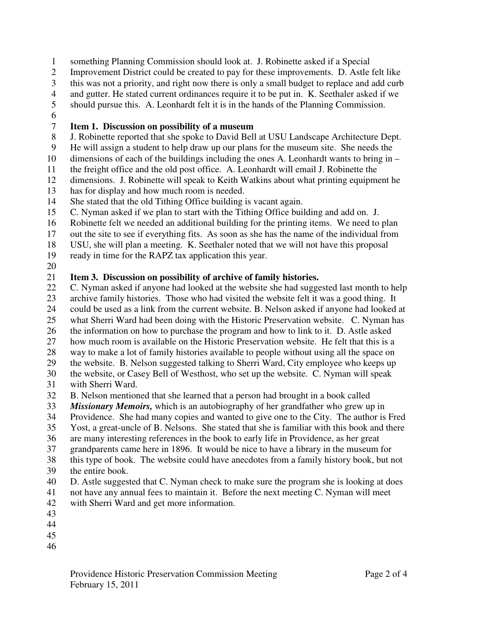- 1 something Planning Commission should look at. J. Robinette asked if a Special
- 2 Improvement District could be created to pay for these improvements. D. Astle felt like
- 3 this was not a priority, and right now there is only a small budget to replace and add curb
- 4 and gutter. He stated current ordinances require it to be put in. K. Seethaler asked if we
- 5 should pursue this. A. Leonhardt felt it is in the hands of the Planning Commission.
- 6

## 7 **Item 1. Discussion on possibility of a museum**

- 8 J. Robinette reported that she spoke to David Bell at USU Landscape Architecture Dept.
- 9 He will assign a student to help draw up our plans for the museum site. She needs the
- 10 dimensions of each of the buildings including the ones A. Leonhardt wants to bring in –
- 11 the freight office and the old post office. A. Leonhardt will email J. Robinette the
- 12 dimensions. J. Robinette will speak to Keith Watkins about what printing equipment he
- 13 has for display and how much room is needed.
- 14 She stated that the old Tithing Office building is vacant again.
- 15 C. Nyman asked if we plan to start with the Tithing Office building and add on. J.
- 16 Robinette felt we needed an additional building for the printing items. We need to plan
- 17 out the site to see if everything fits. As soon as she has the name of the individual from
- 18 USU, she will plan a meeting. K. Seethaler noted that we will not have this proposal
- 19 ready in time for the RAPZ tax application this year.
- 20

## 21 **Item 3. Discussion on possibility of archive of family histories.**

- 22 C. Nyman asked if anyone had looked at the website she had suggested last month to help 23 archive family histories. Those who had visited the website felt it was a good thing. It
- 24 could be used as a link from the current website. B. Nelson asked if anyone had looked at
- 25 what Sherri Ward had been doing with the Historic Preservation website. C. Nyman has
- 26 the information on how to purchase the program and how to link to it. D. Astle asked
- 27 how much room is available on the Historic Preservation website. He felt that this is a
- 28 way to make a lot of family histories available to people without using all the space on
- 29 the website. B. Nelson suggested talking to Sherri Ward, City employee who keeps up
- 30 the website, or Casey Bell of Westhost, who set up the website. C. Nyman will speak
- 31 with Sherri Ward.
- 32 B. Nelson mentioned that she learned that a person had brought in a book called
- 33 *Missionary Memoirs,* which is an autobiography of her grandfather who grew up in
- 34 Providence. She had many copies and wanted to give one to the City. The author is Fred
- 35 Yost, a great-uncle of B. Nelsons. She stated that she is familiar with this book and there
- 36 are many interesting references in the book to early life in Providence, as her great
- 37 grandparents came here in 1896. It would be nice to have a library in the museum for
- 38 this type of book. The website could have anecdotes from a family history book, but not 39 the entire book.
- 
- 40 D. Astle suggested that C. Nyman check to make sure the program she is looking at does 41 not have any annual fees to maintain it. Before the next meeting C. Nyman will meet
- 42 with Sherri Ward and get more information.
- 43
- 44
- 45
- 46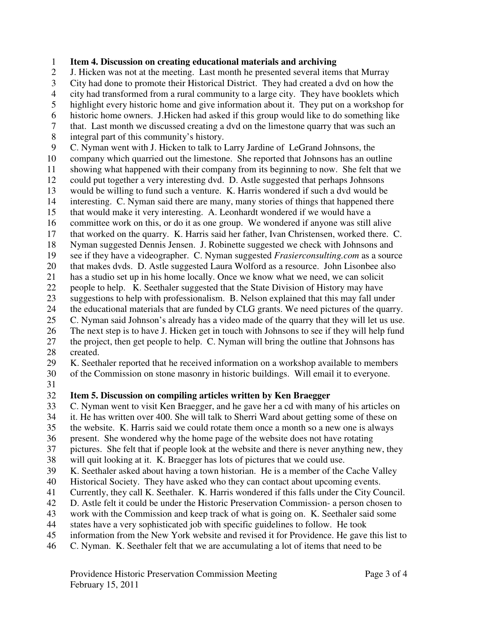1 **Item 4. Discussion on creating educational materials and archiving** 

2 J. Hicken was not at the meeting. Last month he presented several items that Murray

- 3 City had done to promote their Historical District. They had created a dvd on how the
- 4 city had transformed from a rural community to a large city. They have booklets which
- 5 highlight every historic home and give information about it. They put on a workshop for
- 6 historic home owners. J.Hicken had asked if this group would like to do something like
- 7 that. Last month we discussed creating a dvd on the limestone quarry that was such an
- 8 integral part of this community's history.
- 9 C. Nyman went with J. Hicken to talk to Larry Jardine of LeGrand Johnsons, the
- 10 company which quarried out the limestone. She reported that Johnsons has an outline
- 11 showing what happened with their company from its beginning to now. She felt that we
- 12 could put together a very interesting dvd. D. Astle suggested that perhaps Johnsons
- 13 would be willing to fund such a venture. K. Harris wondered if such a dvd would be
- 14 interesting. C. Nyman said there are many, many stories of things that happened there
- 15 that would make it very interesting. A. Leonhardt wondered if we would have a
- 16 committee work on this, or do it as one group. We wondered if anyone was still alive
- 17 that worked on the quarry. K. Harris said her father, Ivan Christensen, worked there. C.
- 18 Nyman suggested Dennis Jensen. J. Robinette suggested we check with Johnsons and
- 19 see if they have a videographer. C. Nyman suggested *Frasierconsulting.com* as a source
- 20 that makes dvds. D. Astle suggested Laura Wolford as a resource. John Lisonbee also
- 21 has a studio set up in his home locally. Once we know what we need, we can solicit
- 22 people to help. K. Seethaler suggested that the State Division of History may have
- 23 suggestions to help with professionalism. B. Nelson explained that this may fall under<br>24 the educational materials that are funded by CLG grants. We need pictures of the quarry
- 24 the educational materials that are funded by CLG grants. We need pictures of the quarry.
- 25 C. Nyman said Johnson's already has a video made of the quarry that they will let us use. 26 The next step is to have J. Hicken get in touch with Johnsons to see if they will help fund
- 27 the project, then get people to help. C. Nyman will bring the outline that Johnsons has 28 created.
- 

29 K. Seethaler reported that he received information on a workshop available to members

- 30 of the Commission on stone masonry in historic buildings. Will email it to everyone.
- 31

## 32 **Item 5. Discussion on compiling articles written by Ken Braegger**

33 C. Nyman went to visit Ken Braegger, and he gave her a cd with many of his articles on

- 34 it. He has written over 400. She will talk to Sherri Ward about getting some of these on
- 35 the website. K. Harris said we could rotate them once a month so a new one is always

36 present. She wondered why the home page of the website does not have rotating

37 pictures. She felt that if people look at the website and there is never anything new, they

- 38 will quit looking at it. K. Braegger has lots of pictures that we could use.
- 39 K. Seethaler asked about having a town historian. He is a member of the Cache Valley
- 40 Historical Society. They have asked who they can contact about upcoming events.
- 41 Currently, they call K. Seethaler. K. Harris wondered if this falls under the City Council.
- 42 D. Astle felt it could be under the Historic Preservation Commission- a person chosen to
- 43 work with the Commission and keep track of what is going on. K. Seethaler said some
- 44 states have a very sophisticated job with specific guidelines to follow. He took
- 45 information from the New York website and revised it for Providence. He gave this list to
- 46 C. Nyman. K. Seethaler felt that we are accumulating a lot of items that need to be